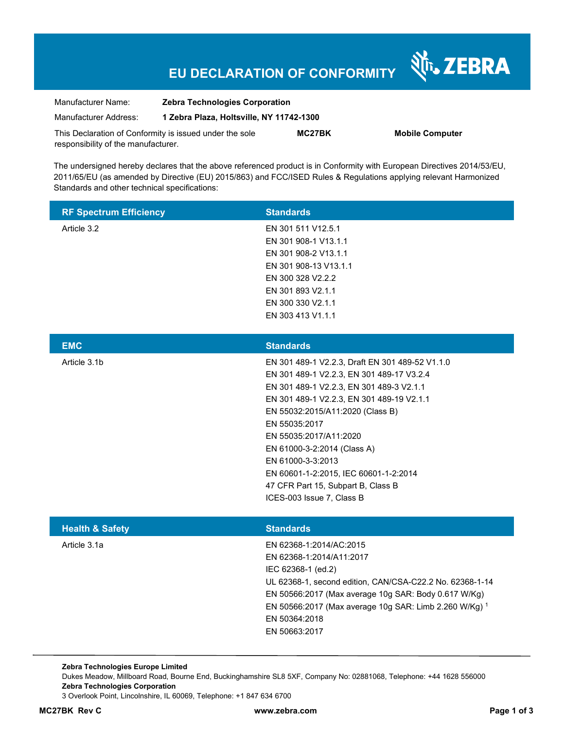# **EU DECLARATION OF CONFORMITY**

Nr. ZEBRA

| Manufacturer Name:                                      | <b>Zebra Technologies Corporation</b>    |        |                        |
|---------------------------------------------------------|------------------------------------------|--------|------------------------|
| Manufacturer Address:                                   | 1 Zebra Plaza, Holtsville, NY 11742-1300 |        |                        |
| This Declaration of Conformity is issued under the sole |                                          | MC27BK | <b>Mobile Computer</b> |
| responsibility of the manufacturer.                     |                                          |        |                        |

The undersigned hereby declares that the above referenced product is in Conformity with European Directives 2014/53/EU, 2011/65/EU (as amended by Directive (EU) 2015/863) and FCC/ISED Rules & Regulations applying relevant Harmonized Standards and other technical specifications:

| <b>RF Spectrum Efficiency</b> | <b>Standards</b>      |
|-------------------------------|-----------------------|
| Article 3.2                   | EN 301 511 V12.5.1    |
|                               | EN 301 908-1 V13.1.1  |
|                               | EN 301 908-2 V13.1.1  |
|                               | EN 301 908-13 V13.1.1 |
|                               | EN 300 328 V2.2.2     |
|                               | EN 301 893 V2.1.1     |
|                               | EN 300 330 V2.1.1     |
|                               | EN 303 413 V1.1.1     |
|                               |                       |

| <b>EMC</b>   | <b>Standards</b>                                |
|--------------|-------------------------------------------------|
| Article 3.1b | EN 301 489-1 V2.2.3, Draft EN 301 489-52 V1.1.0 |
|              | EN 301 489-1 V2.2.3, EN 301 489-17 V3.2.4       |
|              | EN 301 489-1 V2.2.3, EN 301 489-3 V2.1.1        |
|              | EN 301 489-1 V2.2.3, EN 301 489-19 V2.1.1       |
|              | EN 55032:2015/A11:2020 (Class B)                |
|              | EN 55035:2017                                   |
|              | EN 55035:2017/A11:2020                          |
|              | EN 61000-3-2:2014 (Class A)                     |
|              | EN 61000-3-3:2013                               |
|              | EN 60601-1-2:2015, IEC 60601-1-2:2014           |
|              | 47 CFR Part 15, Subpart B, Class B              |
|              | ICES-003 Issue 7. Class B                       |
|              |                                                 |

| <b>Health &amp; Safety</b> | <b>Standards</b>                                         |
|----------------------------|----------------------------------------------------------|
| Article 3.1a               | EN 62368-1:2014/AC:2015                                  |
|                            | EN 62368-1:2014/A11:2017                                 |
|                            | IEC 62368-1 (ed.2)                                       |
|                            | UL 62368-1, second edition, CAN/CSA-C22.2 No. 62368-1-14 |
|                            | EN 50566:2017 (Max average 10g SAR: Body 0.617 W/Kg)     |
|                            | EN 50566:2017 (Max average 10g SAR: Limb 2.260 W/Kg) 1   |
|                            | EN 50364:2018                                            |
|                            | EN 50663:2017                                            |
|                            |                                                          |

**Zebra Technologies Europe Limited**  Dukes Meadow, Millboard Road, Bourne End, Buckinghamshire SL8 5XF, Company No: 02881068, Telephone: +44 1628 556000 **Zebra Technologies Corporation**  3 Overlook Point, Lincolnshire, IL 60069, Telephone: +1 847 634 6700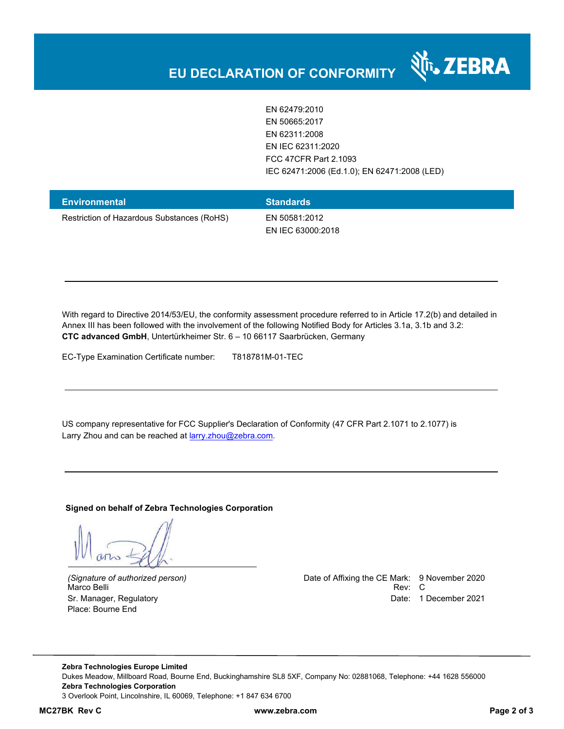

EN 62479:2010 EN 50665:2017 EN 62311:2008 EN IEC 62311:2020 FCC 47CFR Part 2.1093 IEC 62471:2006 (Ed.1.0); EN 62471:2008 (LED)

| <b>Environmental</b>                       | <b>Standards</b>                   |
|--------------------------------------------|------------------------------------|
| Restriction of Hazardous Substances (RoHS) | EN 50581:2012<br>EN IEC 63000:2018 |

With regard to Directive 2014/53/EU, the conformity assessment procedure referred to in Article 17.2(b) and detailed in Annex III has been followed with the involvement of the following Notified Body for Articles 3.1a, 3.1b and 3.2: **CTC advanced GmbH**, Untertürkheimer Str. 6 – 10 66117 Saarbrücken, Germany

EC-Type Examination Certificate number: T818781M-01-TEC

US company representative for FCC Supplier's Declaration of Conformity (47 CFR Part 2.1071 to 2.1077) is Larry Zhou and can be reached at **larry.zhou@zebra.com.** 

**Signed on behalf of Zebra Technologies Corporation** 

Place: Bourne End

*(Signature of authorized person)* Date of Affixing the CE Mark: 9 November 2020 Marco Belli Rev: Compared to the control of the control of the control of the control of the control of the control of the control of the control of the control of the control of the control of the control of the control o Sr. Manager, Regulatory and European Communication Communication Communication Communication Date: 1 December 2021

**Zebra Technologies Europe Limited**  Dukes Meadow, Millboard Road, Bourne End, Buckinghamshire SL8 5XF, Company No: 02881068, Telephone: +44 1628 556000 **Zebra Technologies Corporation**  3 Overlook Point, Lincolnshire, IL 60069, Telephone: +1 847 634 6700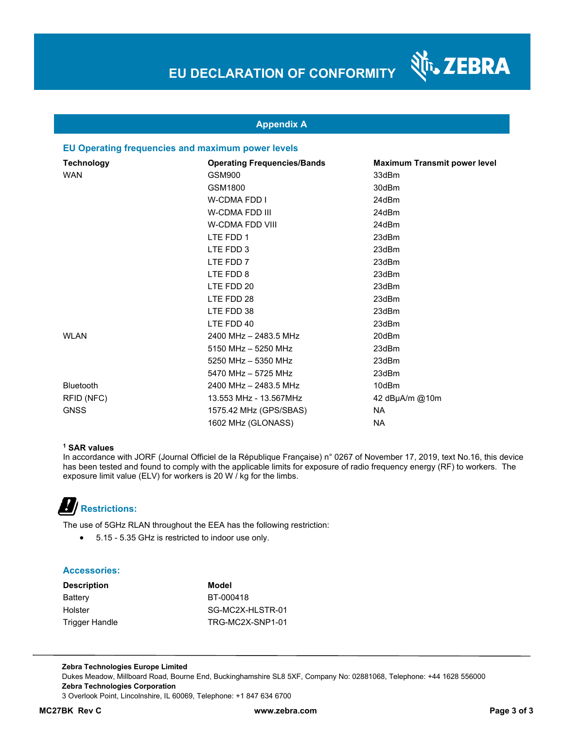N<sub>T</sub>, ZEBRA

#### **Appendix A**

#### **EU Operating frequencies and maximum power levels**

| <b>Technology</b> | <b>Operating Frequencies/Bands</b> | <b>Maximum Transmit power level</b> |
|-------------------|------------------------------------|-------------------------------------|
| <b>WAN</b>        | GSM900                             | 33dBm                               |
|                   | GSM1800                            | 30dBm                               |
|                   | <b>W-CDMA FDD I</b>                | 24dBm                               |
|                   | <b>W-CDMA FDD III</b>              | 24dBm                               |
|                   | <b>W-CDMA FDD VIII</b>             | 24dBm                               |
|                   | LTE FDD 1                          | 23dBm                               |
|                   | LTE FDD 3                          | 23dBm                               |
|                   | LTE FDD 7                          | 23dBm                               |
|                   | LTE FDD 8                          | 23dBm                               |
|                   | LTE FDD 20                         | 23dBm                               |
|                   | LTE FDD 28                         | 23dBm                               |
|                   | LTE FDD 38                         | 23dBm                               |
|                   | LTE FDD 40                         | 23dBm                               |
| <b>WLAN</b>       | 2400 MHz - 2483.5 MHz              | 20dBm                               |
|                   | 5150 MHz - 5250 MHz                | 23dBm                               |
|                   | 5250 MHz - 5350 MHz                | 23dBm                               |
|                   | 5470 MHz - 5725 MHz                | 23dBm                               |
| <b>Bluetooth</b>  | 2400 MHz - 2483.5 MHz              | 10dBm                               |
| RFID (NFC)        | 13.553 MHz - 13.567MHz             | 42 dBµA/m @10m                      |
| <b>GNSS</b>       | 1575.42 MHz (GPS/SBAS)             | NA.                                 |
|                   | 1602 MHz (GLONASS)                 | <b>NA</b>                           |

#### **1 SAR values**

In accordance with JORF (Journal Officiel de la République Française) n° 0267 of November 17, 2019, text No.16, this device has been tested and found to comply with the applicable limits for exposure of radio frequency energy (RF) to workers. The exposure limit value (ELV) for workers is 20 W / kg for the limbs.

 **Restrictions:** 

The use of 5GHz RLAN throughout the EEA has the following restriction:

5.15 - 5.35 GHz is restricted to indoor use only.

#### **Accessories:**

| <b>Description</b> | Model            |
|--------------------|------------------|
| Battery            | BT-000418        |
| Holster            | SG-MC2X-HLSTR-01 |
| Trigger Handle     | TRG-MC2X-SNP1-01 |

**Zebra Technologies Europe Limited**  Dukes Meadow, Millboard Road, Bourne End, Buckinghamshire SL8 5XF, Company No: 02881068, Telephone: +44 1628 556000 **Zebra Technologies Corporation**  3 Overlook Point, Lincolnshire, IL 60069, Telephone: +1 847 634 6700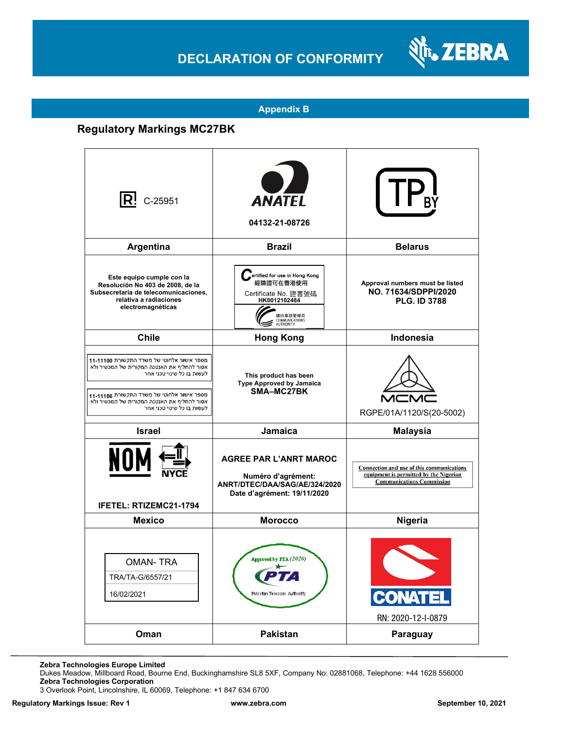### **DECLARATION OF CONFORMITY**



#### **Appendix B**

### **Regulatory Markings MC27BK**

| $ {\sf R}$ ! C-25951                                                                                                                                                                                                                              | <b>ANATEL</b><br>04132-21-08726                                                                                              |                                                                                                                         |
|---------------------------------------------------------------------------------------------------------------------------------------------------------------------------------------------------------------------------------------------------|------------------------------------------------------------------------------------------------------------------------------|-------------------------------------------------------------------------------------------------------------------------|
| Argentina                                                                                                                                                                                                                                         | <b>Brazil</b>                                                                                                                | <b>Belarus</b>                                                                                                          |
| Este equipo cumple con la<br>Resolución No 403 de 2008, de la<br>Subsecretaria de telecomunicaciones,<br>relativa a radiaciones<br>electromagnéticas                                                                                              | ertified for use in Hong Kong<br>經驗證可在香港使用<br>Certificate No. 證書號碼<br>HK0012102484<br>通訊事務管理局<br>COMMUNICATIONS<br>AUTHORITY | Approval numbers must be listed<br>NO. 71634/SDPPI/2020<br><b>PLG. ID 3788</b>                                          |
| <b>Chile</b>                                                                                                                                                                                                                                      | <b>Hong Kong</b>                                                                                                             | Indonesia                                                                                                               |
| מספר אישור אלחוטי של משרד התקשורת 11-11100<br>אסור להחליף את האנטנה המקורית של המכשיר ולא<br>לעשות בו כל שינוי טכני אחר<br>מספר אישור אלחוטי של משרד התקשורת 11-1186<br>אסור להחליף את האנטנה המקורית של המכשיר ולא<br>לעשות בו כל שינוי טכני אחר | This product has been<br><b>Type Approved by Jamaica</b><br>SMA-MC27BK                                                       | RGPE/01A/1120/S(20-5002)                                                                                                |
| <b>Israel</b>                                                                                                                                                                                                                                     | Jamaica                                                                                                                      | <b>Malaysia</b>                                                                                                         |
| NOI<br>IFETEL: RTIZEMC21-1794                                                                                                                                                                                                                     | <b>AGREE PAR L'ANRT MAROC</b><br>Numéro d'agrément:<br>ANRT/DTEC/DAA/SAG/AE/324/2020<br>Date d'agrément: 19/11/2020          | Connection and use of this communications<br>equipment is permitted by the Nigerian<br><b>Communications Commission</b> |
| <b>Mexico</b>                                                                                                                                                                                                                                     | <b>Morocco</b>                                                                                                               | <b>Nigeria</b>                                                                                                          |
| <b>OMAN-TRA</b><br>TRA/TA-G/6557/21<br>16/02/2021                                                                                                                                                                                                 | Approved by PTA (2020)<br>Paki stan Telecom Authority                                                                        | <b>CONATEL</b><br>RN: 2020-12-I-0879                                                                                    |
| Oman                                                                                                                                                                                                                                              | <b>Pakistan</b>                                                                                                              | Paraguay                                                                                                                |

**Zebra Technologies Europe Limited**

Dukes Meadow, Millboard Road, Bourne End, Buckinghamshire SL8 5XF, Company No: 02881068, Telephone: +44 1628 556000 **Zebra Technologies Corporation** 

3 Overlook Point, Lincolnshire, IL 60069, Telephone: +1 847 634 6700